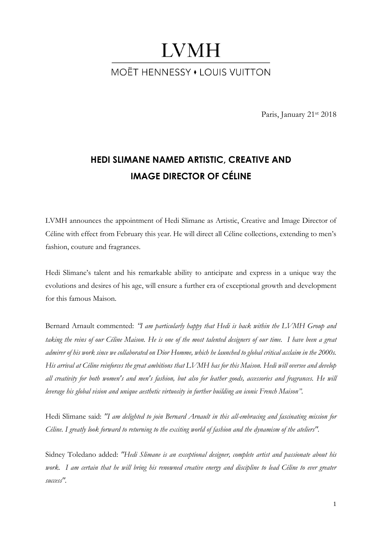# **LVMH MOËT HENNESSY • LOUIS VUITTON**

Paris, January 21st 2018

# **HEDI SLIMANE NAMED ARTISTIC, CREATIVE AND IMAGE DIRECTOR OF CÉLINE**

LVMH announces the appointment of Hedi Slimane as Artistic, Creative and Image Director of Céline with effect from February this year. He will direct all Céline collections, extending to men's fashion, couture and fragrances.

Hedi Slimane's talent and his remarkable ability to anticipate and express in a unique way the evolutions and desires of his age, will ensure a further era of exceptional growth and development for this famous Maison.

Bernard Arnault commented: *"I am particularly happy that Hedi is back within the LVMH Group and taking the reins of our Céline Maison. He is one of the most talented designers of our time. I have been a great admirer of his work since we collaborated on Dior Homme, which he launched to global critical acclaim in the 2000s. His arrival at Céline reinforces the great ambitions that LVMH has for this Maison. Hedi will oversee and develop all creativity for both women's and men's fashion, but also for leather goods, accessories and fragrances. He will leverage his global vision and unique aesthetic virtuosity in further building an iconic French Maison".*

Hedi Slimane said: *"I am delighted to join Bernard Arnault in this all-embracing and fascinating mission for Céline. I greatly look forward to returning to the exciting world of fashion and the dynamism of the ateliers".*

Sidney Toledano added: *"Hedi Slimane is an exceptional designer, complete artist and passionate about his work. I am certain that he will bring his renowned creative energy and discipline to lead Céline to ever greater success".*